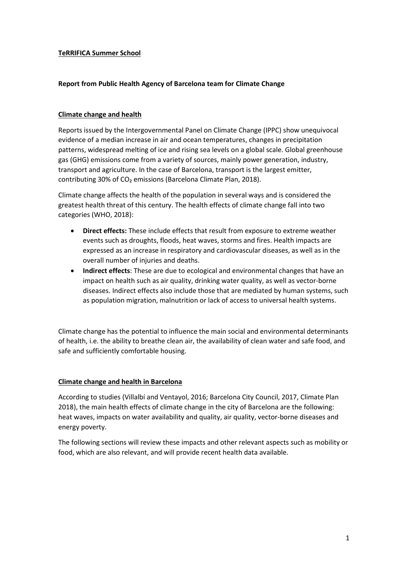# TeRRIFICA Summer School

# Report from Public Health Agency of Barcelona team for Climate Change

## Climate change and health

Reports issued by the Intergovernmental Panel on Climate Change (IPPC) show unequivocal evidence of a median increase in air and ocean temperatures, changes in precipitation patterns, widespread melting of ice and rising sea levels on a global scale. Global greenhouse gas (GHG) emissions come from a variety of sources, mainly power generation, industry, transport and agriculture. In the case of Barcelona, transport is the largest emitter, contributing 30% of CO<sub>2</sub> emissions (Barcelona Climate Plan, 2018).

Climate change affects the health of the population in several ways and is considered the greatest health threat of this century. The health effects of climate change fall into two categories (WHO, 2018):

- Direct effects: These include effects that result from exposure to extreme weather events such as droughts, floods, heat waves, storms and fires. Health impacts are expressed as an increase in respiratory and cardiovascular diseases, as well as in the overall number of injuries and deaths.
- Indirect effects: These are due to ecological and environmental changes that have an impact on health such as air quality, drinking water quality, as well as vector-borne diseases. Indirect effects also include those that are mediated by human systems, such as population migration, malnutrition or lack of access to universal health systems.

Climate change has the potential to influence the main social and environmental determinants of health, i.e. the ability to breathe clean air, the availability of clean water and safe food, and safe and sufficiently comfortable housing.

#### Climate change and health in Barcelona

According to studies (Villalbí and Ventayol, 2016; Barcelona City Council, 2017, Climate Plan 2018), the main health effects of climate change in the city of Barcelona are the following: heat waves, impacts on water availability and quality, air quality, vector-borne diseases and energy poverty.

The following sections will review these impacts and other relevant aspects such as mobility or food, which are also relevant, and will provide recent health data available.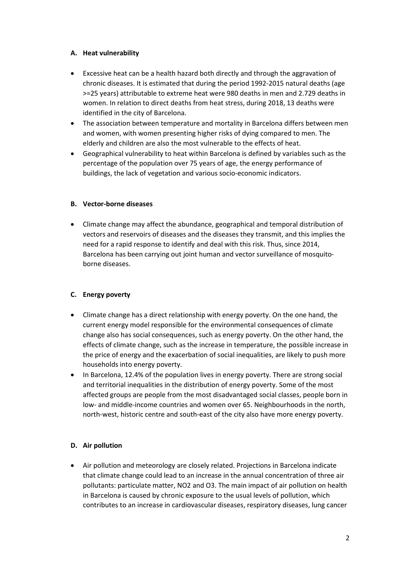# A. Heat vulnerability

- Excessive heat can be a health hazard both directly and through the aggravation of chronic diseases. It is estimated that during the period 1992-2015 natural deaths (age >=25 years) attributable to extreme heat were 980 deaths in men and 2.729 deaths in women. In relation to direct deaths from heat stress, during 2018, 13 deaths were identified in the city of Barcelona.
- The association between temperature and mortality in Barcelona differs between men and women, with women presenting higher risks of dying compared to men. The elderly and children are also the most vulnerable to the effects of heat.
- Geographical vulnerability to heat within Barcelona is defined by variables such as the percentage of the population over 75 years of age, the energy performance of buildings, the lack of vegetation and various socio-economic indicators.

### B. Vector-borne diseases

 Climate change may affect the abundance, geographical and temporal distribution of vectors and reservoirs of diseases and the diseases they transmit, and this implies the need for a rapid response to identify and deal with this risk. Thus, since 2014, Barcelona has been carrying out joint human and vector surveillance of mosquitoborne diseases.

# C. Energy poverty

- Climate change has a direct relationship with energy poverty. On the one hand, the current energy model responsible for the environmental consequences of climate change also has social consequences, such as energy poverty. On the other hand, the effects of climate change, such as the increase in temperature, the possible increase in the price of energy and the exacerbation of social inequalities, are likely to push more households into energy poverty.
- In Barcelona, 12.4% of the population lives in energy poverty. There are strong social and territorial inequalities in the distribution of energy poverty. Some of the most affected groups are people from the most disadvantaged social classes, people born in low- and middle-income countries and women over 65. Neighbourhoods in the north, north-west, historic centre and south-east of the city also have more energy poverty.

# D. Air pollution

 Air pollution and meteorology are closely related. Projections in Barcelona indicate that climate change could lead to an increase in the annual concentration of three air pollutants: particulate matter, NO2 and O3. The main impact of air pollution on health in Barcelona is caused by chronic exposure to the usual levels of pollution, which contributes to an increase in cardiovascular diseases, respiratory diseases, lung cancer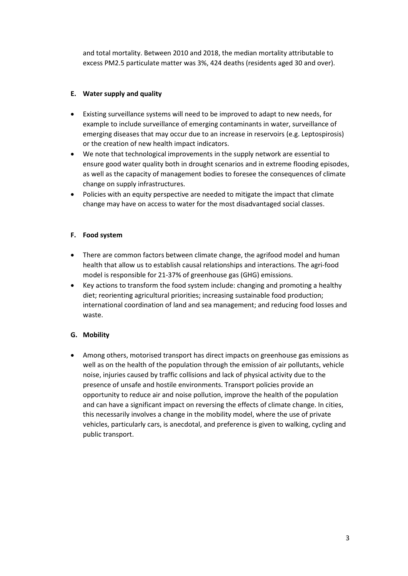and total mortality. Between 2010 and 2018, the median mortality attributable to excess PM2.5 particulate matter was 3%, 424 deaths (residents aged 30 and over).

# E. Water supply and quality

- Existing surveillance systems will need to be improved to adapt to new needs, for example to include surveillance of emerging contaminants in water, surveillance of emerging diseases that may occur due to an increase in reservoirs (e.g. Leptospirosis) or the creation of new health impact indicators.
- We note that technological improvements in the supply network are essential to ensure good water quality both in drought scenarios and in extreme flooding episodes, as well as the capacity of management bodies to foresee the consequences of climate change on supply infrastructures.
- Policies with an equity perspective are needed to mitigate the impact that climate change may have on access to water for the most disadvantaged social classes.

# F. Food system

- There are common factors between climate change, the agrifood model and human health that allow us to establish causal relationships and interactions. The agri-food model is responsible for 21-37% of greenhouse gas (GHG) emissions.
- Key actions to transform the food system include: changing and promoting a healthy diet; reorienting agricultural priorities; increasing sustainable food production; international coordination of land and sea management; and reducing food losses and waste.

# G. Mobility

 Among others, motorised transport has direct impacts on greenhouse gas emissions as well as on the health of the population through the emission of air pollutants, vehicle noise, injuries caused by traffic collisions and lack of physical activity due to the presence of unsafe and hostile environments. Transport policies provide an opportunity to reduce air and noise pollution, improve the health of the population and can have a significant impact on reversing the effects of climate change. In cities, this necessarily involves a change in the mobility model, where the use of private vehicles, particularly cars, is anecdotal, and preference is given to walking, cycling and public transport.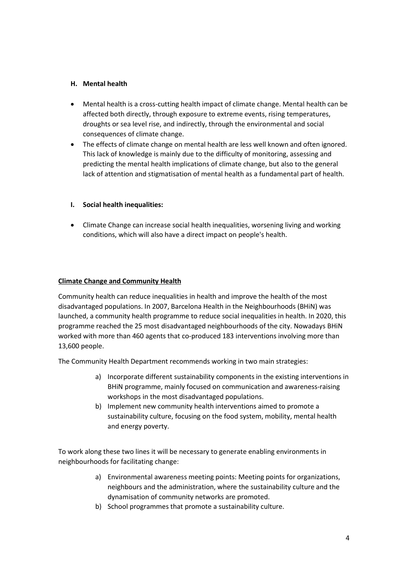## H. Mental health

- Mental health is a cross-cutting health impact of climate change. Mental health can be affected both directly, through exposure to extreme events, rising temperatures, droughts or sea level rise, and indirectly, through the environmental and social consequences of climate change.
- The effects of climate change on mental health are less well known and often ignored. This lack of knowledge is mainly due to the difficulty of monitoring, assessing and predicting the mental health implications of climate change, but also to the general lack of attention and stigmatisation of mental health as a fundamental part of health.

### I. Social health inequalities:

 Climate Change can increase social health inequalities, worsening living and working conditions, which will also have a direct impact on people's health.

### Climate Change and Community Health

Community health can reduce inequalities in health and improve the health of the most disadvantaged populations. In 2007, Barcelona Health in the Neighbourhoods (BHiN) was launched, a community health programme to reduce social inequalities in health. In 2020, this programme reached the 25 most disadvantaged neighbourhoods of the city. Nowadays BHiN worked with more than 460 agents that co-produced 183 interventions involving more than 13,600 people.

The Community Health Department recommends working in two main strategies:

- a) Incorporate different sustainability components in the existing interventions in BHiN programme, mainly focused on communication and awareness-raising workshops in the most disadvantaged populations.
- b) Implement new community health interventions aimed to promote a sustainability culture, focusing on the food system, mobility, mental health and energy poverty.

To work along these two lines it will be necessary to generate enabling environments in neighbourhoods for facilitating change:

- a) Environmental awareness meeting points: Meeting points for organizations, neighbours and the administration, where the sustainability culture and the dynamisation of community networks are promoted.
- b) School programmes that promote a sustainability culture.